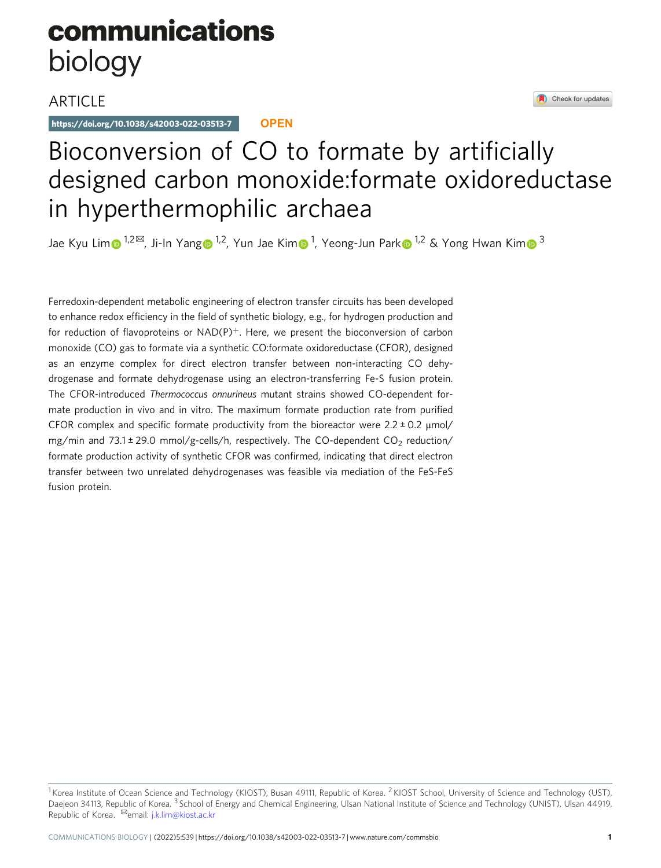# communications biology

### **ARTICLE**

https://doi.org/10.1038/s42003-022-03513-7 **OPEN**

## Bioconversion of CO to formate by artificially designed carbon monoxide:formate oxidoreductase in hyperthermophilic archaea

Jae Kyu Li[m](http://orcid.org/0000-0003-4729-693X)⊕ <sup>[1](http://orcid.org/0000-0001-7294-6469),2⊠</sup>, Ji-In Yan[g](http://orcid.org/0000-0003-4965-3427)⊕ <sup>1,2</sup>, Yun Jae Kim⊕ <sup>1</sup>, Yeong-Jun Par[k](http://orcid.org/0000-0001-7294-6469)⊕ <sup>1,2</sup> & Yong Hwan Kim⊕ <sup>3</sup>

Ferredoxin-dependent metabolic engineering of electron transfer circuits has been developed to enhance redox efficiency in the field of synthetic biology, e.g., for hydrogen production and for reduction of flavoproteins or  $NAD(P)^+$ . Here, we present the bioconversion of carbon monoxide (CO) gas to formate via a synthetic CO:formate oxidoreductase (CFOR), designed as an enzyme complex for direct electron transfer between non-interacting CO dehydrogenase and formate dehydrogenase using an electron-transferring Fe-S fusion protein. The CFOR-introduced Thermococcus onnurineus mutant strains showed CO-dependent formate production in vivo and in vitro. The maximum formate production rate from purified CFOR complex and specific formate productivity from the bioreactor were  $2.2 \pm 0.2$   $\mu$ mol/ mg/min and  $73.1 \pm 29.0$  mmol/g-cells/h, respectively. The CO-dependent CO<sub>2</sub> reduction/ formate production activity of synthetic CFOR was confirmed, indicating that direct electron transfer between two unrelated dehydrogenases was feasible via mediation of the FeS-FeS fusion protein.

Check for updates

<sup>&</sup>lt;sup>1</sup> Korea Institute of Ocean Science and Technology (KIOST), Busan 49111, Republic of Korea. <sup>2</sup> KIOST School, University of Science and Technology (UST), Daejeon 34113, Republic of Korea. <sup>3</sup> School of Energy and Chemical Engineering, Ulsan National Institute of Science and Technology (UNIST), Ulsan 44919, Republic of Korea. <sup>⊠</sup>email: [j.k.lim@kiost.ac.kr](mailto:j.k.lim@kiost.ac.kr)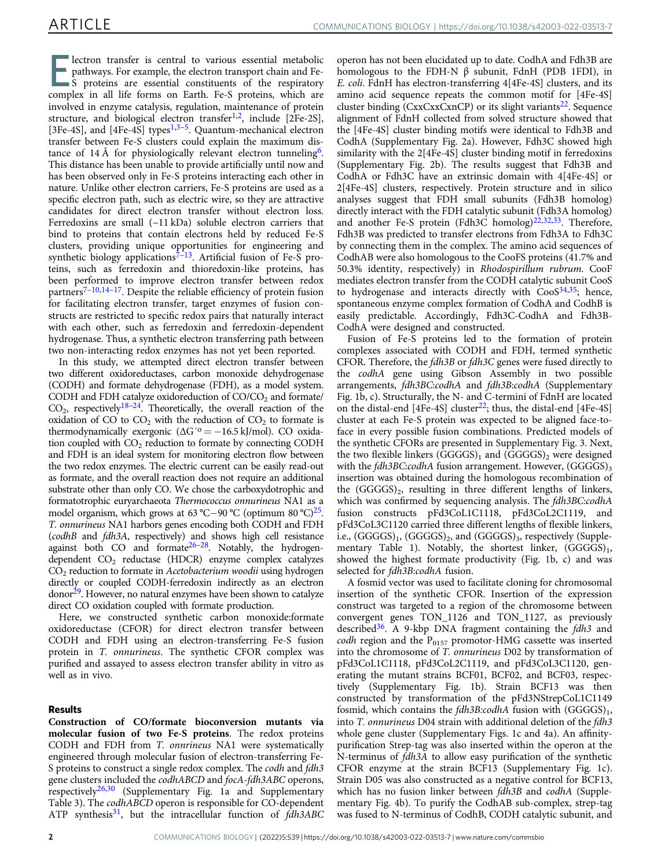**Exercise 19 Electron transfer is central to various essential metabolic**<br>
S proteins are essential constituents of the respiratory<br>
Separatory in all life forms and Earth Eq. S proteins which are pathways. For example, the electron transport chain and Fecomplex in all life forms on Earth. Fe-S proteins, which are involved in enzyme catalysis, regulation, maintenance of protein structure, and biological electron transfer<sup>1,2</sup>, include  $[2Fe-2S]$ , [[3](#page-6-0)Fe-4S], and  $[4Fe-4S]$  types<sup>[1](#page-6-0),3–5</sup>. Quantum-mechanical electron transfer between Fe-S clusters could explain the maximum distance of 14 Å for physiologically relevant electron tunneling<sup>6</sup>. This distance has been unable to provide artificially until now and has been observed only in Fe-S proteins interacting each other in nature. Unlike other electron carriers, Fe-S proteins are used as a specific electron path, such as electric wire, so they are attractive candidates for direct electron transfer without electron loss. Ferredoxins are small (~11 kDa) soluble electron carriers that bind to proteins that contain electrons held by reduced Fe-S clusters, providing unique opportunities for engineering and synthetic biology applications<sup>[7](#page-6-0)-[13](#page-7-0)</sup>. Artificial fusion of Fe-S proteins, such as ferredoxin and thioredoxin-like proteins, has been performed to improve electron transfer between redox partners<sup>[7](#page-6-0)–[10,14](#page-7-0)–17</sup>. Despite the reliable efficiency of protein fusion for facilitating electron transfer, target enzymes of fusion constructs are restricted to specific redox pairs that naturally interact with each other, such as ferredoxin and ferredoxin-dependent hydrogenase. Thus, a synthetic electron transferring path between two non-interacting redox enzymes has not yet been reported.

In this study, we attempted direct electron transfer between two different oxidoreductases, carbon monoxide dehydrogenase (CODH) and formate dehydrogenase (FDH), as a model system. CODH and FDH catalyze oxidoreduction of  $CO/CO<sub>2</sub>$  and formate/  $CO<sub>2</sub>$ , respectively<sup>[18](#page-7-0)-24</sup>. Theoretically, the overall reaction of the oxidation of CO to  $CO_2$  with the reduction of  $CO_2$  to formate is thermodynamically exergonic  $(\Delta G'^o = -16.5 \text{ kJ/mol})$ . CO oxidation coupled with  $CO<sub>2</sub>$  reduction to formate by connecting CODH and FDH is an ideal system for monitoring electron flow between the two redox enzymes. The electric current can be easily read-out as formate, and the overall reaction does not require an additional substrate other than only CO. We chose the carboxydotrophic and formatotrophic euryarchaeota Thermococcus onnurineus NA1 as a model organism, which grows at 63 °C−90 °C (optimum 80 °C)[25.](#page-7-0) T. onnurineus NA1 harbors genes encoding both CODH and FDH (codhB and fdh3A, respectively) and shows high cell resistance against both CO and formate $26-28$  $26-28$ . Notably, the hydrogendependent CO<sub>2</sub> reductase (HDCR) enzyme complex catalyzes  $CO<sub>2</sub>$  reduction to formate in Acetobacterium woodii using hydrogen directly or coupled CODH-ferredoxin indirectly as an electron donor<sup>29</sup>. However, no natural enzymes have been shown to catalyze direct CO oxidation coupled with formate production.

Here, we constructed synthetic carbon monoxide:formate oxidoreductase (CFOR) for direct electron transfer between CODH and FDH using an electron-transferring Fe-S fusion protein in T. onnurineus. The synthetic CFOR complex was purified and assayed to assess electron transfer ability in vitro as well as in vivo.

### Results

Construction of CO/formate bioconversion mutants via molecular fusion of two Fe-S proteins. The redox proteins CODH and FDH from T. onnrineus NA1 were systematically engineered through molecular fusion of electron-transferring Fe-S proteins to construct a single redox complex. The codh and fdh3 gene clusters included the codhABCD and focA-fdh3ABC operons, respectively[26,30](#page-7-0) (Supplementary Fig. 1a and Supplementary Table 3). The codhABCD operon is responsible for CO-dependent ATP synthesis $31$ , but the intracellular function of  $fdh3ABC$ 

operon has not been elucidated up to date. CodhA and Fdh3B are homologous to the FDH-N β subunit, FdnH (PDB 1FDI), in E. coli. FdnH has electron-transferring 4[4Fe-4S] clusters, and its amino acid sequence repeats the common motif for [4Fe-4S] cluster binding  $(CxxCxxCxC)$  or its slight variants<sup>22</sup>. Sequence alignment of FdnH collected from solved structure showed that the [4Fe-4S] cluster binding motifs were identical to Fdh3B and CodhA (Supplementary Fig. 2a). However, Fdh3C showed high similarity with the 2[4Fe-4S] cluster binding motif in ferredoxins (Supplementary Fig. 2b). The results suggest that Fdh3B and CodhA or Fdh3C have an extrinsic domain with 4[4Fe-4S] or 2[4Fe-4S] clusters, respectively. Protein structure and in silico analyses suggest that FDH small subunits (Fdh3B homolog) directly interact with the FDH catalytic subunit (Fdh3A homolog) and another Fe-S protein (Fdh3C homolog)<sup>22,32,33</sup>. Therefore, Fdh3B was predicted to transfer electrons from Fdh3A to Fdh3C by connecting them in the complex. The amino acid sequences of CodhAB were also homologous to the CooFS proteins (41.7% and 50.3% identity, respectively) in Rhodospirillum rubrum. CooF mediates electron transfer from the CODH catalytic subunit CooS to hydrogenase and interacts directly with  $Coos<sup>34,35</sup>$  $Coos<sup>34,35</sup>$  $Coos<sup>34,35</sup>$ ; hence, spontaneous enzyme complex formation of CodhA and CodhB is easily predictable. Accordingly, Fdh3C-CodhA and Fdh3B-CodhA were designed and constructed.

Fusion of Fe-S proteins led to the formation of protein complexes associated with CODH and FDH, termed synthetic CFOR. Therefore, the fdh3B or fdh3C genes were fused directly to the codhA gene using Gibson Assembly in two possible arrangements, fdh3BC:codhA and fdh3B:codhA (Supplementary Fig. 1b, c). Structurally, the N- and C-termini of FdnH are located on the distal-end  $[4Fe-4S]$  cluster<sup>[22](#page-7-0)</sup>; thus, the distal-end  $[4Fe-4S]$ cluster at each Fe-S protein was expected to be aligned face-toface in every possible fusion combinations. Predicted models of the synthetic CFORs are presented in Supplementary Fig. 3. Next, the two flexible linkers  $(GGGGS)_1$  and  $(GGGGS)_2$  were designed with the fdh3BC:codhA fusion arrangement. However, (GGGGS)3 insertion was obtained during the homologous recombination of the (GGGGS)<sub>2</sub>, resulting in three different lengths of linkers, which was confirmed by sequencing analysis. The fdh3BC:codhA fusion constructs pFd3CoL1C1118, pFd3CoL2C1119, and pFd3CoL3C1120 carried three different lengths of flexible linkers, i.e.,  $(GGGGS)_1$ ,  $(GGGGS)_2$ , and  $(GGGGS)_3$ , respectively (Supplementary Table 1). Notably, the shortest linker,  $(GGGGS)_1$ , showed the highest formate productivity (Fig. [1b](#page-2-0), c) and was selected for fdh3B:codhA fusion.

A fosmid vector was used to facilitate cloning for chromosomal insertion of the synthetic CFOR. Insertion of the expression construct was targeted to a region of the chromosome between convergent genes TON\_1126 and TON\_1127, as previously described<sup>36</sup>. A 9-kbp DNA fragment containing the fdh3 and codh region and the  $P_{0157}$  promotor-HMG cassette was inserted into the chromosome of T. onnurineus D02 by transformation of pFd3CoL1C1118, pFd3CoL2C1119, and pFd3CoL3C1120, generating the mutant strains BCF01, BCF02, and BCF03, respectively (Supplementary Fig. 1b). Strain BCF13 was then constructed by transformation of the pFd3NStrepCoL1C1149 fosmid, which contains the  $fdh3B:codhA$  fusion with  $(GGGGS)_1$ , into T. onnurineus D04 strain with additional deletion of the fdh3 whole gene cluster (Supplementary Figs. 1c and 4a). An affinitypurification Strep-tag was also inserted within the operon at the N-terminus of fdh3A to allow easy purification of the synthetic CFOR enzyme at the strain BCF13 (Supplementary Fig. 1c). Strain D05 was also constructed as a negative control for BCF13, which has no fusion linker between fdh3B and codhA (Supplementary Fig. 4b). To purify the CodhAB sub-complex, strep-tag was fused to N-terminus of CodhB, CODH catalytic subunit, and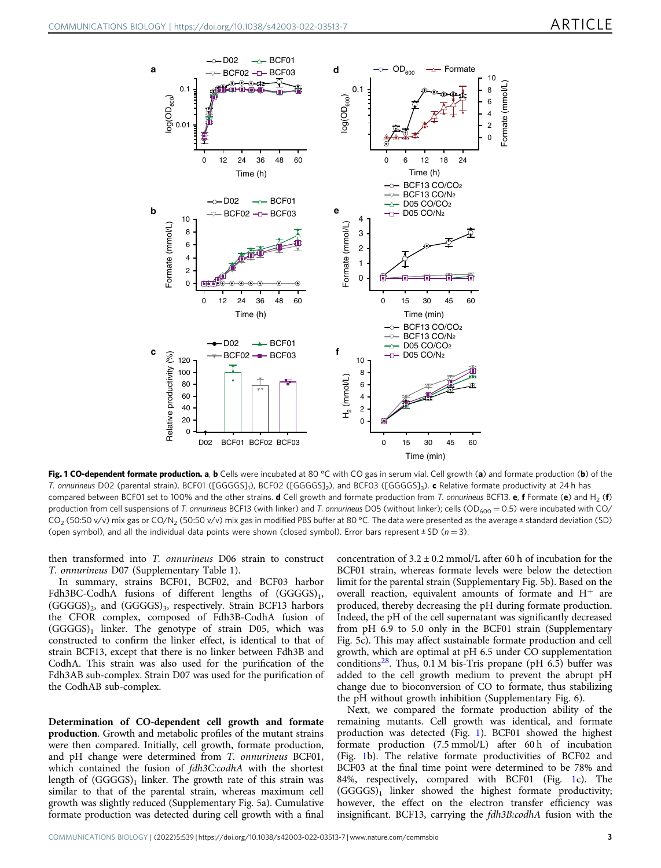<span id="page-2-0"></span>

Fig. 1 CO-dependent formate production. a, b Cells were incubated at 80 °C with CO gas in serum vial. Cell growth (a) and formate production (b) of the T. onnurineus D02 (parental strain), BCF01 ([GGGGS]<sub>1</sub>), BCF02 ([GGGGS]<sub>2</sub>), and BCF03 ([GGGGS]<sub>3</sub>). c Relative formate productivity at 24 h has compared between BCF01 set to 100% and the other strains. d Cell growth and formate production from T. onnurineus BCF13. e, f Formate (e) and H<sub>2</sub> (f) production from cell suspensions of T. onnurineus BCF13 (with linker) and T. onnurineus D05 (without linker); cells (OD<sub>600</sub> = 0.5) were incubated with CO/  $CO<sub>2</sub>$  (50:50 v/v) mix gas or CO/N<sub>2</sub> (50:50 v/v) mix gas in modified PBS buffer at 80 °C. The data were presented as the average ± standard deviation (SD) (open symbol), and all the individual data points were shown (closed symbol). Error bars represent  $\pm$  SD ( $n = 3$ ).

then transformed into T. onnurineus D06 strain to construct T. onnurineus D07 (Supplementary Table 1).

In summary, strains BCF01, BCF02, and BCF03 harbor Fdh3BC-CodhA fusions of different lengths of  $(GGGGS)_1$ , (GGGGS)<sub>2</sub>, and (GGGGS)<sub>3</sub>, respectively. Strain BCF13 harbors the CFOR complex, composed of Fdh3B-CodhA fusion of  $(GGGGS)_1$  linker. The genotype of strain D05, which was constructed to confirm the linker effect, is identical to that of strain BCF13, except that there is no linker between Fdh3B and CodhA. This strain was also used for the purification of the Fdh3AB sub-complex. Strain D07 was used for the purification of the CodhAB sub-complex.

Determination of CO-dependent cell growth and formate production. Growth and metabolic profiles of the mutant strains were then compared. Initially, cell growth, formate production, and pH change were determined from T. onnurineus BCF01, which contained the fusion of fdh3C:codhA with the shortest length of  $(GGGGS)_1$  linker. The growth rate of this strain was similar to that of the parental strain, whereas maximum cell growth was slightly reduced (Supplementary Fig. 5a). Cumulative formate production was detected during cell growth with a final

concentration of  $3.2 \pm 0.2$  mmol/L after 60 h of incubation for the BCF01 strain, whereas formate levels were below the detection limit for the parental strain (Supplementary Fig. 5b). Based on the overall reaction, equivalent amounts of formate and  $H^+$  are produced, thereby decreasing the pH during formate production. Indeed, the pH of the cell supernatant was significantly decreased from pH 6.9 to 5.0 only in the BCF01 strain (Supplementary Fig. 5c). This may affect sustainable formate production and cell growth, which are optimal at pH 6.5 under CO supplementation conditions<sup>28</sup>. Thus,  $0.1 M$  bis-Tris propane (pH 6.5) buffer was added to the cell growth medium to prevent the abrupt pH change due to bioconversion of CO to formate, thus stabilizing the pH without growth inhibition (Supplementary Fig. 6).

Next, we compared the formate production ability of the remaining mutants. Cell growth was identical, and formate production was detected (Fig. 1). BCF01 showed the highest formate production (7.5 mmol/L) after 60 h of incubation (Fig. 1b). The relative formate productivities of BCF02 and BCF03 at the final time point were determined to be 78% and 84%, respectively, compared with BCF01 (Fig. 1c). The  $(GGGGS)_1$  linker showed the highest formate productivity; however, the effect on the electron transfer efficiency was insignificant. BCF13, carrying the fdh3B:codhA fusion with the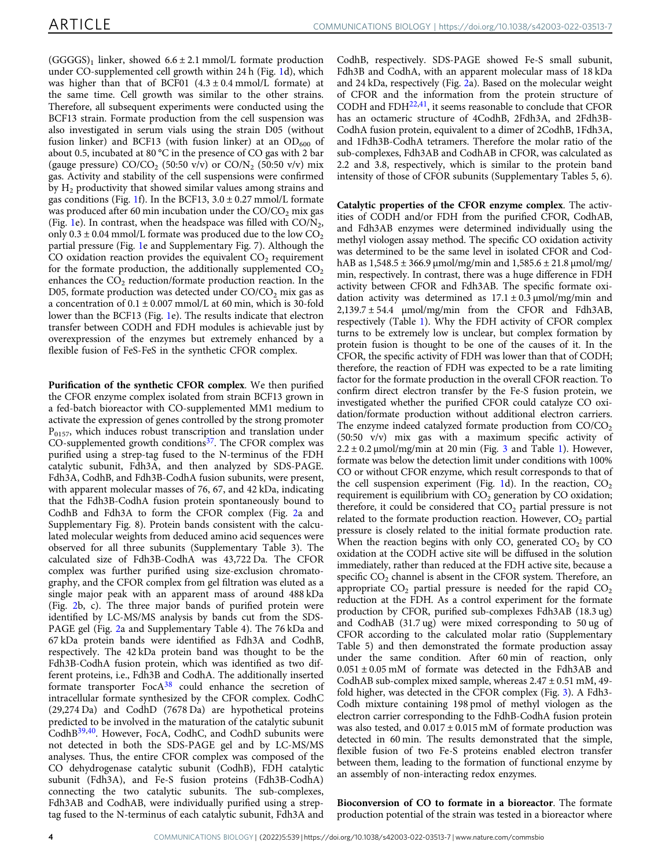$(GGGGS)_1$  linker, showed  $6.6 \pm 2.1$  mmol/L formate production under CO-supplemented cell growth within 24 h (Fig. [1d](#page-2-0)), which was higher than that of BCF01  $(4.3 \pm 0.4 \text{ mmol/L})$  formate) at the same time. Cell growth was similar to the other strains. Therefore, all subsequent experiments were conducted using the BCF13 strain. Formate production from the cell suspension was also investigated in serum vials using the strain D05 (without fusion linker) and BCF13 (with fusion linker) at an  $OD_{600}$  of about 0.5, incubated at 80 °C in the presence of CO gas with 2 bar (gauge pressure)  $CO/CO_2$  (50:50 v/v) or  $CO/N_2$  (50:50 v/v) mix gas. Activity and stability of the cell suspensions were confirmed by  $H_2$  productivity that showed similar values among strains and gas conditions (Fig. [1f](#page-2-0)). In the BCF13,  $3.0 \pm 0.27$  mmol/L formate was produced after 60 min incubation under the  $CO/CO<sub>2</sub>$  mix gas (Fig. [1e](#page-2-0)). In contrast, when the headspace was filled with  $CO/N_2$ , only  $0.3 \pm 0.04$  mmol/L formate was produced due to the low CO<sub>2</sub> partial pressure (Fig. [1](#page-2-0)e and Supplementary Fig. 7). Although the CO oxidation reaction provides the equivalent  $CO<sub>2</sub>$  requirement for the formate production, the additionally supplemented  $CO<sub>2</sub>$ enhances the  $CO<sub>2</sub>$  reduction/formate production reaction. In the D05, formate production was detected under  $CO/CO<sub>2</sub>$  mix gas as a concentration of  $0.1 \pm 0.007$  mmol/L at 60 min, which is 30-fold lower than the BCF13 (Fig. [1](#page-2-0)e). The results indicate that electron transfer between CODH and FDH modules is achievable just by overexpression of the enzymes but extremely enhanced by a flexible fusion of FeS-FeS in the synthetic CFOR complex.

Purification of the synthetic CFOR complex. We then purified the CFOR enzyme complex isolated from strain BCF13 grown in a fed-batch bioreactor with CO-supplemented MM1 medium to activate the expression of genes controlled by the strong promoter  $P_{0157}$ , which induces robust transcription and translation under CO-supplemented growth conditions<sup>37</sup>. The CFOR complex was purified using a strep-tag fused to the N-terminus of the FDH catalytic subunit, Fdh3A, and then analyzed by SDS-PAGE. Fdh3A, CodhB, and Fdh3B-CodhA fusion subunits, were present, with apparent molecular masses of 76, 67, and 42 kDa, indicating that the Fdh3B-CodhA fusion protein spontaneously bound to CodhB and Fdh3A to form the CFOR complex (Fig. [2a](#page-4-0) and Supplementary Fig. 8). Protein bands consistent with the calculated molecular weights from deduced amino acid sequences were observed for all three subunits (Supplementary Table 3). The calculated size of Fdh3B-CodhA was 43,722 Da. The CFOR complex was further purified using size-exclusion chromatography, and the CFOR complex from gel filtration was eluted as a single major peak with an apparent mass of around 488 kDa (Fig. [2](#page-4-0)b, c). The three major bands of purified protein were identified by LC-MS/MS analysis by bands cut from the SDS-PAGE gel (Fig. [2a](#page-4-0) and Supplementary Table 4). The 76 kDa and 67 kDa protein bands were identified as Fdh3A and CodhB, respectively. The 42 kDa protein band was thought to be the Fdh3B-CodhA fusion protein, which was identified as two different proteins, i.e., Fdh3B and CodhA. The additionally inserted formate transporter  $FocA<sup>38</sup>$  $FocA<sup>38</sup>$  $FocA<sup>38</sup>$  could enhance the secretion of intracellular formate synthesized by the CFOR complex. CodhC (29,274 Da) and CodhD (7678 Da) are hypothetical proteins predicted to be involved in the maturation of the catalytic subunit CodhB[39](#page-7-0),[40](#page-7-0). However, FocA, CodhC, and CodhD subunits were not detected in both the SDS-PAGE gel and by LC-MS/MS analyses. Thus, the entire CFOR complex was composed of the CO dehydrogenase catalytic subunit (CodhB), FDH catalytic subunit (Fdh3A), and Fe-S fusion proteins (Fdh3B-CodhA) connecting the two catalytic subunits. The sub-complexes, Fdh3AB and CodhAB, were individually purified using a streptag fused to the N-terminus of each catalytic subunit, Fdh3A and

CodhB, respectively. SDS-PAGE showed Fe-S small subunit, Fdh3B and CodhA, with an apparent molecular mass of 18 kDa and 24 kDa, respectively (Fig. [2a](#page-4-0)). Based on the molecular weight of CFOR and the information from the protein structure of CODH and  $FDH^{22,41}$  $FDH^{22,41}$  $FDH^{22,41}$  $FDH^{22,41}$  $FDH^{22,41}$ , it seems reasonable to conclude that CFOR has an octameric structure of 4CodhB, 2Fdh3A, and 2Fdh3B-CodhA fusion protein, equivalent to a dimer of 2CodhB, 1Fdh3A, and 1Fdh3B-CodhA tetramers. Therefore the molar ratio of the sub-complexes, Fdh3AB and CodhAB in CFOR, was calculated as 2.2 and 3.8, respectively, which is similar to the protein band intensity of those of CFOR subunits (Supplementary Tables 5, 6).

Catalytic properties of the CFOR enzyme complex. The activities of CODH and/or FDH from the purified CFOR, CodhAB, and Fdh3AB enzymes were determined individually using the methyl viologen assay method. The specific CO oxidation activity was determined to be the same level in isolated CFOR and CodhAB as  $1,548.5 \pm 366.9 \mu$  mol/mg/min and  $1,585.6 \pm 21.8 \mu$  mol/mg/ min, respectively. In contrast, there was a huge difference in FDH activity between CFOR and Fdh3AB. The specific formate oxidation activity was determined as  $17.1 \pm 0.3 \,\mu\text{mol/mg/min}$  and  $2,139.7 \pm 54.4$  μmol/mg/min from the CFOR and Fdh3AB, respectively (Table [1\)](#page-4-0). Why the FDH activity of CFOR complex turns to be extremely low is unclear, but complex formation by protein fusion is thought to be one of the causes of it. In the CFOR, the specific activity of FDH was lower than that of CODH; therefore, the reaction of FDH was expected to be a rate limiting factor for the formate production in the overall CFOR reaction. To confirm direct electron transfer by the Fe-S fusion protein, we investigated whether the purified CFOR could catalyze CO oxidation/formate production without additional electron carriers. The enzyme indeed catalyzed formate production from  $CO/CO<sub>2</sub>$ (50:50 v/v) mix gas with a maximum specific activity of  $2.2 \pm 0.2$  µmol/mg/min at 20 min (Fig. [3](#page-4-0) and Table [1](#page-4-0)). However, formate was below the detection limit under conditions with 100% CO or without CFOR enzyme, which result corresponds to that of the cell suspension experiment (Fig. [1d](#page-2-0)). In the reaction,  $CO<sub>2</sub>$ requirement is equilibrium with  $CO<sub>2</sub>$  generation by CO oxidation; therefore, it could be considered that  $CO<sub>2</sub>$  partial pressure is not related to the formate production reaction. However,  $CO<sub>2</sub>$  partial pressure is closely related to the initial formate production rate. When the reaction begins with only CO, generated  $CO<sub>2</sub>$  by CO oxidation at the CODH active site will be diffused in the solution immediately, rather than reduced at the FDH active site, because a specific  $CO<sub>2</sub>$  channel is absent in the CFOR system. Therefore, an appropriate  $CO<sub>2</sub>$  partial pressure is needed for the rapid  $CO<sub>2</sub>$ reduction at the FDH. As a control experiment for the formate production by CFOR, purified sub-complexes Fdh3AB (18.3 ug) and CodhAB (31.7 ug) were mixed corresponding to 50 ug of CFOR according to the calculated molar ratio (Supplementary Table 5) and then demonstrated the formate production assay under the same condition. After 60 min of reaction, only  $0.051 \pm 0.05$  mM of formate was detected in the Fdh3AB and CodhAB sub-complex mixed sample, whereas  $2.47 \pm 0.51$  mM, 49fold higher, was detected in the CFOR complex (Fig. [3\)](#page-4-0). A Fdh3- Codh mixture containing 198 pmol of methyl viologen as the electron carrier corresponding to the FdhB-CodhA fusion protein was also tested, and  $0.017 \pm 0.015$  mM of formate production was detected in 60 min. The results demonstrated that the simple, flexible fusion of two Fe-S proteins enabled electron transfer between them, leading to the formation of functional enzyme by an assembly of non-interacting redox enzymes.

Bioconversion of CO to formate in a bioreactor. The formate production potential of the strain was tested in a bioreactor where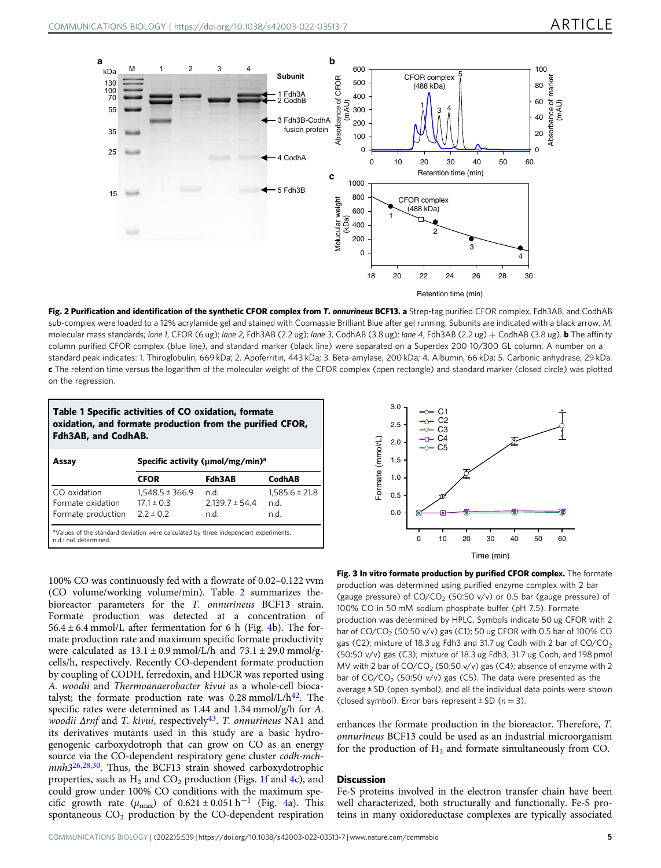<span id="page-4-0"></span>

Fig. 2 Purification and identification of the synthetic CFOR complex from T. onnurineus BCF13. a Strep-tag purified CFOR complex, Fdh3AB, and CodhAB sub-complex were loaded to a 12% acrylamide gel and stained with Coomassie Brilliant Blue after gel running. Subunits are indicated with a black arrow. M, molecular mass standards; lane 1, CFOR (6 ug); lane 2, Fdh3AB (2.2 ug); lane 3, CodhAB (3.8 ug); lane 4, Fdh3AB (2.2 ug) + CodhAB (3.8 ug). **b** The affinity column purified CFOR complex (blue line), and standard marker (black line) were separated on a Superdex 200 10/300 GL column. A number on a standard peak indicates: 1. Thiroglobulin, 669 kDa; 2. Apoferritin, 443 kDa; 3. Beta-amylase, 200 kDa; 4. Albumin, 66 kDa; 5. Carbonic anhydrase, 29 kDa. c The retention time versus the logarithm of the molecular weight of the CFOR complex (open rectangle) and standard marker (closed circle) was plotted on the regression.



100% CO was continuously fed with a flowrate of 0.02–0.122 vvm (CO volume/working volume/min). Table [2](#page-5-0) summarizes thebioreactor parameters for the T. onnurineus BCF13 strain. Formate production was detected at a concentration of  $56.4 \pm 6.4$  $56.4 \pm 6.4$  $56.4 \pm 6.4$  mmol/L after fermentation for 6 h (Fig. 4b). The formate production rate and maximum specific formate productivity were calculated as  $13.1 \pm 0.9$  mmol/L/h and  $73.1 \pm 29.0$  mmol/gcells/h, respectively. Recently CO-dependent formate production by coupling of CODH, ferredoxin, and HDCR was reported using A. woodii and Thermoanaerobacter kivui as a whole-cell biocatalyst; the formate production rate was  $0.28 \text{ mmol/L/h}^{42}$ . The specific rates were determined as 1.44 and 1.34 mmol/g/h for A. woodii  $\Delta r$ nf and T. kivui, respectively<sup>43</sup>. T. onnurineus NA1 and its derivatives mutants used in this study are a basic hydrogenogenic carboxydotroph that can grow on CO as an energy source via the CO-dependent respiratory gene cluster codh-mch-mnh3<sup>[26,28,30](#page-7-0)</sup>. Thus, the BCF13 strain showed carboxydotrophic properties, such as  $H_2$  and  $CO_2$  production (Figs. [1f](#page-2-0) and [4c](#page-5-0)), and could grow under 100% CO conditions with the maximum specific growth rate ( $\mu_{\text{max}}$ ) of 0.621 ± 0.051 h<sup>-1</sup> (Fig. [4a](#page-5-0)). This spontaneous  $CO<sub>2</sub>$  production by the CO-dependent respiration



Fig. 3 In vitro formate production by purified CFOR complex. The formate production was determined using purified enzyme complex with 2 bar (gauge pressure) of  $CO/CO<sub>2</sub>$  (50:50 v/v) or 0.5 bar (gauge pressure) of 100% CO in 50 mM sodium phosphate buffer (pH 7.5). Formate production was determined by HPLC. Symbols indicate 50 ug CFOR with 2 bar of  $CO/CO_2$  (50:50 v/v) gas (C1); 50 ug CFOR with 0.5 bar of 100% CO gas (C2); mixture of 18.3 ug Fdh3 and 31.7 ug Codh with 2 bar of  $CO/CO<sub>2</sub>$ (50:50 v/v) gas (C3); mixture of 18.3 ug Fdh3, 31.7 ug Codh, and 198 pmol MV with 2 bar of  $CO/CO_2$  (50:50 v/v) gas (C4); absence of enzyme with 2 bar of  $CO/CO_2$  (50:50 v/v) gas (C5). The data were presented as the average ± SD (open symbol), and all the individual data points were shown (closed symbol). Error bars represent  $\pm$  SD ( $n = 3$ ).

enhances the formate production in the bioreactor. Therefore, T. onnurineus BCF13 could be used as an industrial microorganism for the production of  $H_2$  and formate simultaneously from CO.

#### **Discussion**

Fe-S proteins involved in the electron transfer chain have been well characterized, both structurally and functionally. Fe-S proteins in many oxidoreductase complexes are typically associated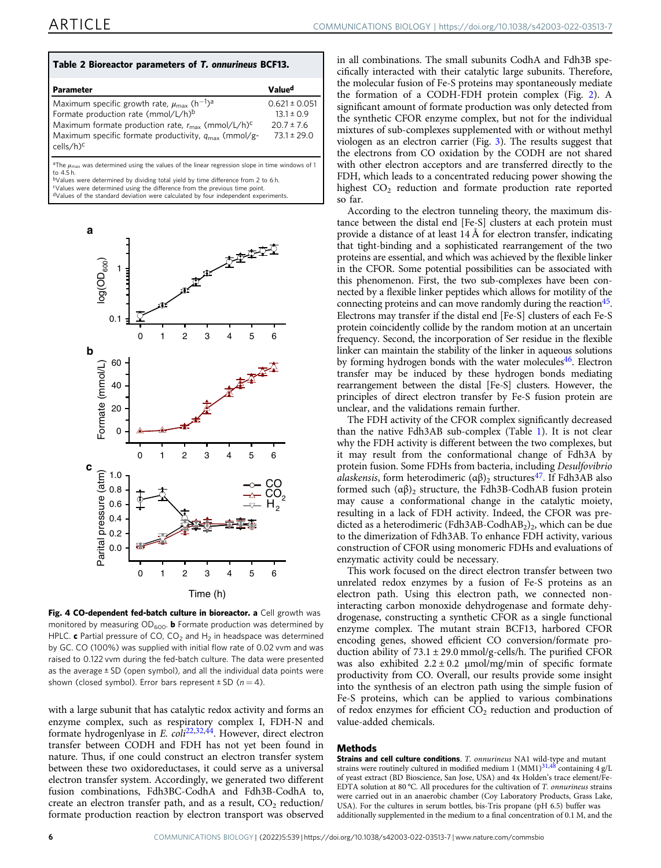<span id="page-5-0"></span>

| Table 2 Bioreactor parameters of T. onnurineus BCF13.                                     |                    |
|-------------------------------------------------------------------------------------------|--------------------|
| Parameter                                                                                 | Value <sup>d</sup> |
| Maximum specific growth rate, $\mu_{\text{max}}$ (h <sup>-1</sup> ) <sup>a</sup>          | $0.621 \pm 0.051$  |
| Formate production rate (mmol/L/h) <sup>b</sup>                                           | $13.1 \pm 0.9$     |
| Maximum formate production rate, $r_{\text{max}}$ (mmol/L/h) <sup>c</sup>                 | $20.7 \pm 7.6$     |
| Maximum specific formate productivity, $q_{\text{max}}$ (mmol/g-<br>cells/h) <sup>c</sup> | $73.1 \pm 29.0$    |

<sup>a</sup>The  $\mu_{\text{max}}$  was determined using the values of the linear regression slope in time windows of 1 to 4.5 h.

bValues were determined by dividing total yield by time difference from 2 to 6 h. cValues were determined using the difference from the previous time point.

dValues of the standard deviation were calculated by four independent experiments.



Fig. 4 CO-dependent fed-batch culture in bioreactor. a Cell growth was monitored by measuring  $OD_{600}$ . **b** Formate production was determined by HPLC. c Partial pressure of CO, CO<sub>2</sub> and H<sub>2</sub> in headspace was determined by GC. CO (100%) was supplied with initial flow rate of 0.02 vvm and was raised to 0.122 vvm during the fed-batch culture. The data were presented as the average  $\pm$  SD (open symbol), and all the individual data points were shown (closed symbol). Error bars represent  $\pm$  SD ( $n = 4$ ).

with a large subunit that has catalytic redox activity and forms an enzyme complex, such as respiratory complex I, FDH-N and formate hydrogenlyase in E. coli<sup>[22,32,44](#page-7-0)</sup>. However, direct electron transfer between CODH and FDH has not yet been found in nature. Thus, if one could construct an electron transfer system between these two oxidoreductases, it could serve as a universal electron transfer system. Accordingly, we generated two different fusion combinations, Fdh3BC-CodhA and Fdh3B-CodhA to, create an electron transfer path, and as a result,  $CO<sub>2</sub>$  reduction/ formate production reaction by electron transport was observed

in all combinations. The small subunits CodhA and Fdh3B specifically interacted with their catalytic large subunits. Therefore, the molecular fusion of Fe-S proteins may spontaneously mediate the formation of a CODH-FDH protein complex (Fig. [2\)](#page-4-0). A significant amount of formate production was only detected from the synthetic CFOR enzyme complex, but not for the individual mixtures of sub-complexes supplemented with or without methyl viologen as an electron carrier (Fig. [3\)](#page-4-0). The results suggest that the electrons from CO oxidation by the CODH are not shared with other electron acceptors and are transferred directly to the FDH, which leads to a concentrated reducing power showing the highest  $CO<sub>2</sub>$  reduction and formate production rate reported so far.

According to the electron tunneling theory, the maximum distance between the distal end [Fe-S] clusters at each protein must provide a distance of at least 14 Å for electron transfer, indicating that tight-binding and a sophisticated rearrangement of the two proteins are essential, and which was achieved by the flexible linker in the CFOR. Some potential possibilities can be associated with this phenomenon. First, the two sub-complexes have been connected by a flexible linker peptides which allows for motility of the connecting proteins and can move randomly during the reaction  $45$ . Electrons may transfer if the distal end [Fe-S] clusters of each Fe-S protein coincidently collide by the random motion at an uncertain frequency. Second, the incorporation of Ser residue in the flexible linker can maintain the stability of the linker in aqueous solutions by forming hydrogen bonds with the water molecules<sup>46</sup>. Electron transfer may be induced by these hydrogen bonds mediating rearrangement between the distal [Fe-S] clusters. However, the principles of direct electron transfer by Fe-S fusion protein are unclear, and the validations remain further.

The FDH activity of the CFOR complex significantly decreased than the native Fdh3AB sub-complex (Table [1](#page-4-0)). It is not clear why the FDH activity is different between the two complexes, but it may result from the conformational change of Fdh3A by protein fusion. Some FDHs from bacteria, including Desulfovibrio alaskensis, form heterodimeric  $(\alpha\beta)_2$  structures<sup>[47](#page-7-0)</sup>. If Fdh3AB also formed such  $(αβ)_2$  structure, the Fdh3B-CodhAB fusion protein may cause a conformational change in the catalytic moiety, resulting in a lack of FDH activity. Indeed, the CFOR was predicted as a heterodimeric (Fdh3AB-CodhAB<sub>2</sub>)<sub>2</sub>, which can be due to the dimerization of Fdh3AB. To enhance FDH activity, various construction of CFOR using monomeric FDHs and evaluations of enzymatic activity could be necessary.

This work focused on the direct electron transfer between two unrelated redox enzymes by a fusion of Fe-S proteins as an electron path. Using this electron path, we connected noninteracting carbon monoxide dehydrogenase and formate dehydrogenase, constructing a synthetic CFOR as a single functional enzyme complex. The mutant strain BCF13, harbored CFOR encoding genes, showed efficient CO conversion/formate production ability of  $73.1 \pm 29.0$  mmol/g-cells/h. The purified CFOR was also exhibited  $2.2 \pm 0.2$  µmol/mg/min of specific formate productivity from CO. Overall, our results provide some insight into the synthesis of an electron path using the simple fusion of Fe-S proteins, which can be applied to various combinations of redox enzymes for efficient  $CO<sub>2</sub>$  reduction and production of value-added chemicals.

#### Methods

**Strains and cell culture conditions**. *T. onnurineus* NA1 wild-type and mutant strains were routinely cultured in modified medium 1 (MM1)<sup>[31,48](#page-7-0)</sup> containing 4 g/L of yeast extract (BD Bioscience, San Jose, USA) and 4x Holden's trace element/Fe-EDTA solution at 80 °C. All procedures for the cultivation of T. onnurineus strains were carried out in an anaerobic chamber (Coy Laboratory Products, Grass Lake, USA). For the cultures in serum bottles, bis-Tris propane (pH 6.5) buffer was additionally supplemented in the medium to a final concentration of 0.1 M, and the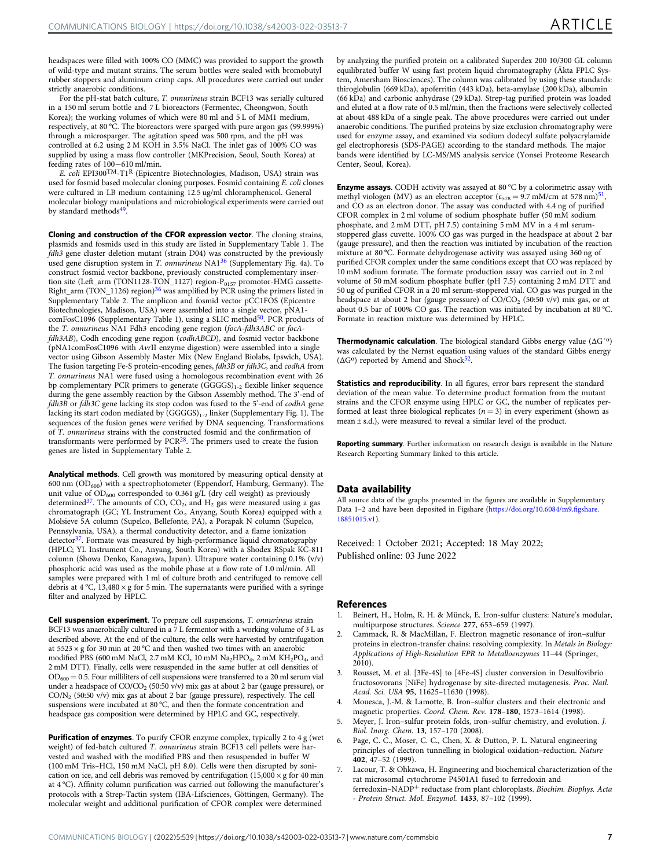<span id="page-6-0"></span>headspaces were filled with 100% CO (MMC) was provided to support the growth of wild-type and mutant strains. The serum bottles were sealed with bromobutyl rubber stoppers and aluminum crimp caps. All procedures were carried out under strictly anaerobic conditions.

For the pH-stat batch culture, T. onnurineus strain BCF13 was serially cultured in a 150 ml serum bottle and 7 L bioreactors (Fermentec, Cheongwon, South Korea); the working volumes of which were 80 ml and 5 L of MM1 medium, respectively, at 80 °C. The bioreactors were sparged with pure argon gas (99.999%) through a microsparger. The agitation speed was 500 rpm, and the pH was controlled at 6.2 using 2 M KOH in 3.5% NaCl. The inlet gas of 100% CO was supplied by using a mass flow controller (MKPrecision, Seoul, South Korea) at feeding rates of 100−610 ml/min.

E. coli EPI300TM-T1R (Epicentre Biotechnologies, Madison, USA) strain was used for fosmid based molecular cloning purposes. Fosmid containing E. coli clones were cultured in LB medium containing 12.5 ug/ml chloramphenicol. General molecular biology manipulations and microbiological experiments were carried out by standard methods<sup>[49](#page-7-0)</sup>.

Cloning and construction of the CFOR expression vector. The cloning strains, plasmids and fosmids used in this study are listed in Supplementary Table 1. The fdh3 gene cluster deletion mutant (strain D04) was constructed by the previously used gene disruption system in T. onnurineus NA1[36](#page-7-0) (Supplementary Fig. 4a). To construct fosmid vector backbone, previously constructed complementary insertion site (Left\_arm (TON1128-TON\_1127) region-P<sub>0157</sub> promotor-HMG cassette-Right\_arm (TON\_1126) region) $36$  was amplified by PCR using the primers listed in Supplementary Table 2. The amplicon and fosmid vector pCC1FOS (Epicentre Biotechnologies, Madison, USA) were assembled into a single vector, pNA1- comFosC1096 (Supplementary Table 1), using a SLIC method<sup>[50](#page-7-0)</sup>. PCR products of the T. onnurineus NA1 Fdh3 encoding gene region (focA-fdh3ABC or focAfdh3AB), Codh encoding gene region (codhABCD), and fosmid vector backbone (pNA1comFosC1096 with AvrII enzyme digestion) were assembled into a single vector using Gibson Assembly Master Mix (New England Biolabs, Ipswich, USA). The fusion targeting Fe-S protein-encoding genes, fdh3B or fdh3C, and codhA from T. onnurineus NA1 were fused using a homologous recombination event with 26 bp complementary PCR primers to generate  $(GGGGS)_{1-2}$  flexible linker sequence during the gene assembly reaction by the Gibson Assembly method. The 3'-end of fdh3B or fdh3C gene lacking its stop codon was fused to the 5'-end of codhA gene lacking its start codon mediated by  $(GGGGS)_{1-2}$  linker (Supplementary Fig. 1). The sequences of the fusion genes were verified by DNA sequencing. Transformations of T. onnurineus strains with the constructed fosmid and the confirmation of transformants were performed by  $PCR^{28}$ . The primers used to create the fusion genes are listed in Supplementary Table 2.

Analytical methods. Cell growth was monitored by measuring optical density at 600 nm  $(OD_{600})$  with a spectrophotometer (Eppendorf, Hamburg, Germany). The unit value of OD<sub>600</sub> corresponded to 0.361 g/L (dry cell weight) as previously determined<sup>37</sup>. The amounts of CO,  $CO<sub>2</sub>$ , and  $H<sub>2</sub>$  gas were measured using a gas chromatograph (GC; YL Instrument Co., Anyang, South Korea) equipped with a Molsieve 5A column (Supelco, Bellefonte, PA), a Porapak N column (Supelco, Pennsylvania, USA), a thermal conductivity detector, and a flame ionization detector<sup>37</sup>. Formate was measured by high-performance liquid chromatography (HPLC; YL Instrument Co., Anyang, South Korea) with a Shodex RSpak KC-811 column (Showa Denko, Kanagawa, Japan). Ultrapure water containing 0.1% (v/v) phosphoric acid was used as the mobile phase at a flow rate of 1.0 ml/min. All samples were prepared with 1 ml of culture broth and centrifuged to remove cell debris at  $4^{\circ}$ C, 13,480  $\times$  g for 5 min. The supernatants were purified with a syringe filter and analyzed by HPLC.

Cell suspension experiment. To prepare cell suspensions, T. onnurineus strain BCF13 was anaerobically cultured in a 7 L fermentor with a working volume of 3 L as described above. At the end of the culture, the cells were harvested by centrifugation at  $5523 \times g$  for 30 min at 20 °C and then washed two times with an anaerobic modified PBS (600 mM NaCl, 2.7 mM KCl, 10 mM  $Na<sub>2</sub>HPO<sub>4</sub>$ , 2 mM  $KH<sub>2</sub>PO<sub>4</sub>$ , and 2 mM DTT). Finally, cells were resuspended in the same buffer at cell densities of  $OD_{600} = 0.5$ . Four milliliters of cell suspensions were transferred to a 20 ml serum vial under a headspace of  $CO/CO_2$  (50:50 v/v) mix gas at about 2 bar (gauge pressure), or CO/N2 (50:50 v/v) mix gas at about 2 bar (gauge pressure), respectively. The cell suspensions were incubated at 80 °C, and then the formate concentration and headspace gas composition were determined by HPLC and GC, respectively.

Purification of enzymes. To purify CFOR enzyme complex, typically 2 to 4 g (wet weight) of fed-batch cultured T. onnurineus strain BCF13 cell pellets were harvested and washed with the modified PBS and then resuspended in buffer W (100 mM Tris–HCl, 150 mM NaCl, pH 8.0). Cells were then disrupted by sonication on ice, and cell debris was removed by centrifugation  $(15,000 \times g$  for 40 min at 4 °C). Affinity column purification was carried out following the manufacturer's protocols with a Strep-Tactin system (IBA-Lifsciences, Göttingen, Germany). The molecular weight and additional purification of CFOR complex were determined

by analyzing the purified protein on a calibrated Superdex 200 10/300 GL column equilibrated buffer W using fast protein liquid chromatography (Äkta FPLC System, Amersham Biosciences). The column was calibrated by using these standards: thiroglobulin (669 kDa), apoferritin (443 kDa), beta-amylase (200 kDa), albumin (66 kDa) and carbonic anhydrase (29 kDa). Strep-tag purified protein was loaded and eluted at a flow rate of 0.5 ml/min, then the fractions were selectively collected at about 488 kDa of a single peak. The above procedures were carried out under anaerobic conditions. The purified proteins by size exclusion chromatography were used for enzyme assay, and examined via sodium dodecyl sulfate polyacrylamide gel electrophoresis (SDS-PAGE) according to the standard methods. The major bands were identified by LC-MS/MS analysis service (Yonsei Proteome Research Center, Seoul, Korea).

Enzyme assays. CODH activity was assayed at 80 °C by a colorimetric assay with methyl viologen (MV) as an electron acceptor ( $\varepsilon_{578} = 9.7$  mM/cm at 578 nm)<sup>5</sup> and CO as an electron donor. The assay was conducted with 4.4 ng of purified CFOR complex in 2 ml volume of sodium phosphate buffer (50 mM sodium phosphate, and 2 mM DTT, pH 7.5) containing 5 mM MV in a 4 ml serumstoppered glass cuvette. 100% CO gas was purged in the headspace at about 2 bar (gauge pressure), and then the reaction was initiated by incubation of the reaction mixture at 80 °C. Formate dehydrogenase activity was assayed using 360 ng of purified CFOR complex under the same conditions except that CO was replaced by 10 mM sodium formate. The formate production assay was carried out in 2 ml volume of 50 mM sodium phosphate buffer (pH 7.5) containing 2 mM DTT and 50 ug of purified CFOR in a 20 ml serum-stoppered vial. CO gas was purged in the headspace at about 2 bar (gauge pressure) of  $CO/CO_2$  (50:50 v/v) mix gas, or at about 0.5 bar of 100% CO gas. The reaction was initiated by incubation at 80 °C. Formate in reaction mixture was determined by HPLC.

**Thermodynamic calculation**. The biological standard Gibbs energy value  $(\Delta G')$ was calculated by the Nernst equation using values of the standard Gibbs energy  $(\Delta G^o)$  reported by Amend and Shock<sup>52</sup>.

Statistics and reproducibility. In all figures, error bars represent the standard deviation of the mean value. To determine product formation from the mutant strains and the CFOR enzyme using HPLC or GC, the number of replicates performed at least three biological replicates ( $n = 3$ ) in every experiment (shown as mean ± s.d.), were measured to reveal a similar level of the product.

Reporting summary. Further information on research design is available in the Nature Research Reporting Summary linked to this article.

#### Data availability

All source data of the graphs presented in the figures are available in Supplementary Data 1–2 and have been deposited in Figshare [\(https://doi.org/10.6084/m9.](https://doi.org/10.6084/m9.figshare.18851015.v1)figshare. [18851015.v1](https://doi.org/10.6084/m9.figshare.18851015.v1)).

Received: 1 October 2021; Accepted: 18 May 2022; Published online: 03 June 2022

#### **References**

- 1. Beinert, H., Holm, R. H. & Münck, E. Iron-sulfur clusters: Nature's modular, multipurpose structures. Science 277, 653–659 (1997).
- 2. Cammack, R. & MacMillan, F. Electron magnetic resonance of iron–sulfur proteins in electron-transfer chains: resolving complexity. In Metals in Biology: Applications of High-Resolution EPR to Metalloenzymes 11–44 (Springer, 2010).
- 3. Rousset, M. et al. [3Fe-4S] to [4Fe-4S] cluster conversion in Desulfovibrio fructosovorans [NiFe] hydrogenase by site-directed mutagenesis. Proc. Natl. Acad. Sci. USA 95, 11625–11630 (1998).
- 4. Mouesca, J.-M. & Lamotte, B. Iron–sulfur clusters and their electronic and magnetic properties. Coord. Chem. Rev. 178–180, 1573–1614 (1998).
- 5. Meyer, J. Iron–sulfur protein folds, iron–sulfur chemistry, and evolution. J. Biol. Inorg. Chem. 13, 157–170 (2008).
- Page, C. C., Moser, C. C., Chen, X. & Dutton, P. L. Natural engineering principles of electron tunnelling in biological oxidation–reduction. Nature 402, 47–52 (1999).
- 7. Lacour, T. & Ohkawa, H. Engineering and biochemical characterization of the rat microsomal cytochrome P4501A1 fused to ferredoxin and ferredoxin–NADP<sup>+</sup> reductase from plant chloroplasts. Biochim. Biophys. Acta - Protein Struct. Mol. Enzymol. 1433, 87–102 (1999).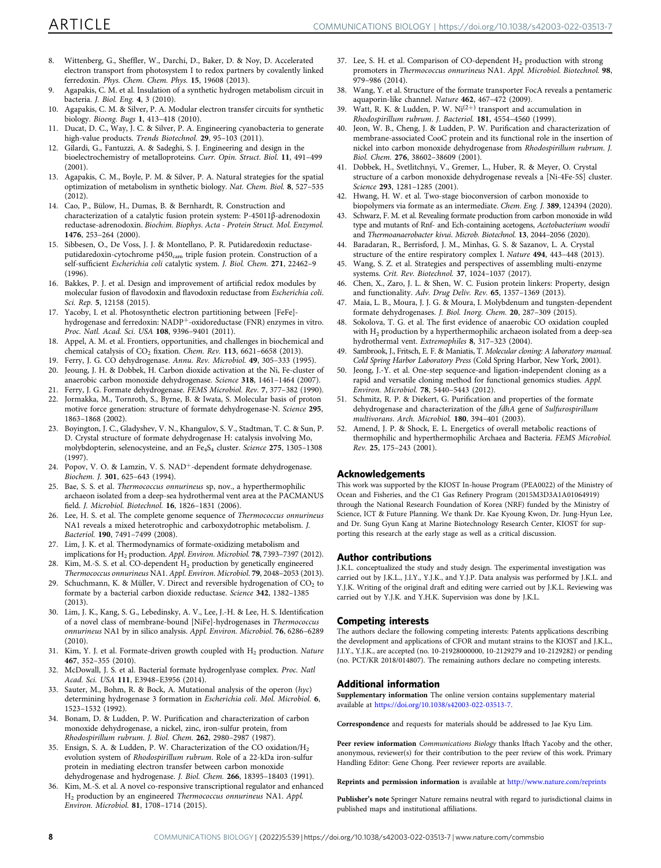- <span id="page-7-0"></span>8. Wittenberg, G., Sheffler, W., Darchi, D., Baker, D. & Noy, D. Accelerated electron transport from photosystem I to redox partners by covalently linked ferredoxin. Phys. Chem. Chem. Phys. 15, 19608 (2013).
- 9. Agapakis, C. M. et al. Insulation of a synthetic hydrogen metabolism circuit in bacteria. J. Biol. Eng. 4, 3 (2010).
- 10. Agapakis, C. M. & Silver, P. A. Modular electron transfer circuits for synthetic biology. Bioeng. Bugs 1, 413–418 (2010).
- 11. Ducat, D. C., Way, J. C. & Silver, P. A. Engineering cyanobacteria to generate high-value products. Trends Biotechnol. 29, 95–103 (2011).
- 12. Gilardi, G., Fantuzzi, A. & Sadeghi, S. J. Engineering and design in the bioelectrochemistry of metalloproteins. Curr. Opin. Struct. Biol. 11, 491–499 (2001).
- 13. Agapakis, C. M., Boyle, P. M. & Silver, P. A. Natural strategies for the spatial optimization of metabolism in synthetic biology. Nat. Chem. Biol. 8, 527–535 (2012).
- 14. Cao, P., Bülow, H., Dumas, B. & Bernhardt, R. Construction and characterization of a catalytic fusion protein system: P-45011β-adrenodoxin reductase-adrenodoxin. Biochim. Biophys. Acta - Protein Struct. Mol. Enzymol. 1476, 253–264 (2000).
- 15. Sibbesen, O., De Voss, J. J. & Montellano, P. R. Putidaredoxin reductaseputidaredoxin-cytochrome p450<sub>cam</sub> triple fusion protein. Construction of a self-sufficient Escherichia coli catalytic system. J. Biol. Chem. 271, 22462–9 (1996).
- 16. Bakkes, P. J. et al. Design and improvement of artificial redox modules by molecular fusion of flavodoxin and flavodoxin reductase from Escherichia coli. Sci. Rep. 5, 12158 (2015).
- 17. Yacoby, I. et al. Photosynthetic electron partitioning between [FeFe] hydrogenase and ferredoxin: NADP+-oxidoreductase (FNR) enzymes in vitro. Proc. Natl. Acad. Sci. USA 108, 9396–9401 (2011).
- 18. Appel, A. M. et al. Frontiers, opportunities, and challenges in biochemical and chemical catalysis of  $CO<sub>2</sub>$  fixation. Chem. Rev. 113, 6621-6658 (2013).
- 19. Ferry, J. G. CO dehydrogenase. Annu. Rev. Microbiol. 49, 305–333 (1995).
- 20. Jeoung, J. H. & Dobbek, H. Carbon dioxide activation at the Ni, Fe-cluster of anaerobic carbon monoxide dehydrogenase. Science 318, 1461–1464 (2007).
- 21. Ferry, J. G. Formate dehydrogenase. FEMS Microbiol. Rev. 7, 377–382 (1990).<br>22. Jormakka, M. Tornroth, S. Byrne, B. & Jwata, S. Molecular basis of proton Jormakka, M., Tornroth, S., Byrne, B. & Iwata, S. Molecular basis of proton motive force generation: structure of formate dehydrogenase-N. Science 295, 1863–1868 (2002).
- 23. Boyington, J. C., Gladyshev, V. N., Khangulov, S. V., Stadtman, T. C. & Sun, P. D. Crystal structure of formate dehydrogenase H: catalysis involving Mo, molybdopterin, selenocysteine, and an Fe4S4 cluster. Science 275, 1305–1308 (1997).
- 24. Popov, V. O. & Lamzin, V. S. NAD<sup>+</sup>-dependent formate dehydrogenase. Biochem. J. 301, 625–643 (1994).
- 25. Bae, S. S. et al. Thermococcus onnurineus sp, nov., a hyperthermophilic archaeon isolated from a deep-sea hydrothermal vent area at the PACMANUS field. J. Microbiol. Biotechnol. 16, 1826–1831 (2006).
- 26. Lee, H. S. et al. The complete genome sequence of Thermococcus onnurineus NA1 reveals a mixed heterotrophic and carboxydotrophic metabolism. J. Bacteriol. 190, 7491–7499 (2008).
- 27. Lim, J. K. et al. Thermodynamics of formate-oxidizing metabolism and implications for H2 production. Appl. Environ. Microbiol. 78, 7393–7397 (2012).
- 28. Kim, M.-S. S. et al. CO-dependent H<sub>2</sub> production by genetically engineered Thermococcus onnurineus NA1. Appl. Environ. Microbiol. 79, 2048–2053 (2013).
- 29. Schuchmann, K. & Müller, V. Direct and reversible hydrogenation of  $CO<sub>2</sub>$  to formate by a bacterial carbon dioxide reductase. Science 342, 1382–1385 (2013).
- 30. Lim, J. K., Kang, S. G., Lebedinsky, A. V., Lee, J.-H. & Lee, H. S. Identification of a novel class of membrane-bound [NiFe]-hydrogenases in Thermococcus onnurineus NA1 by in silico analysis. Appl. Environ. Microbiol. 76, 6286–6289 (2010).
- 31. Kim, Y. J. et al. Formate-driven growth coupled with  $H_2$  production. Nature 467, 352–355 (2010).
- 32. McDowall, J. S. et al. Bacterial formate hydrogenlyase complex. Proc. Natl Acad. Sci. USA 111, E3948–E3956 (2014).
- 33. Sauter, M., Bohm, R. & Bock, A. Mutational analysis of the operon (hyc) determining hydrogenase 3 formation in Escherichia coli. Mol. Microbiol. 6, 1523–1532 (1992).
- 34. Bonam, D. & Ludden, P. W. Purification and characterization of carbon monoxide dehydrogenase, a nickel, zinc, iron-sulfur protein, from Rhodospirillum rubrum. J. Biol. Chem. 262, 2980–2987 (1987).
- 35. Ensign, S. A. & Ludden, P. W. Characterization of the CO oxidation/H<sub>2</sub> evolution system of Rhodospirillum rubrum. Role of a 22-kDa iron-sulfur protein in mediating electron transfer between carbon monoxide dehydrogenase and hydrogenase. J. Biol. Chem. 266, 18395–18403 (1991).
- 36. Kim, M.-S. et al. A novel co-responsive transcriptional regulator and enhanced H2 production by an engineered Thermococcus onnurineus NA1. Appl. Environ. Microbiol. 81, 1708–1714 (2015).
- 37. Lee, S. H. et al. Comparison of CO-dependent  $H_2$  production with strong promoters in Thermococcus onnurineus NA1. Appl. Microbiol. Biotechnol. 98, 979–986 (2014).
- 38. Wang, Y. et al. Structure of the formate transporter FocA reveals a pentameric aquaporin-like channel. Nature 462, 467–472 (2009).
- 39. Watt, R. K. & Ludden, P. W.  $Ni^{(2+)}$  transport and accumulation in Rhodospirillum rubrum. J. Bacteriol. 181, 4554–4560 (1999).
- 40. Jeon, W. B., Cheng, J. & Ludden, P. W. Purification and characterization of membrane-associated CooC protein and its functional role in the insertion of nickel into carbon monoxide dehydrogenase from Rhodospirillum rubrum. J. Biol. Chem. 276, 38602–38609 (2001).
- 41. Dobbek, H., Svetlitchnyi, V., Gremer, L., Huber, R. & Meyer, O. Crystal structure of a carbon monoxide dehydrogenase reveals a [Ni-4Fe-5S] cluster. Science 293, 1281–1285 (2001).
- 42. Hwang, H. W. et al. Two-stage bioconversion of carbon monoxide to biopolymers via formate as an intermediate. Chem. Eng. J. 389, 124394 (2020).
- 43. Schwarz, F. M. et al. Revealing formate production from carbon monoxide in wild type and mutants of Rnf- and Ech-containing acetogens, Acetobacterium woodii and Thermoanaerobacter kivui. Microb. Biotechnol. 13, 2044–2056 (2020).
- 44. Baradaran, R., Berrisford, J. M., Minhas, G. S. & Sazanov, L. A. Crystal structure of the entire respiratory complex I. Nature 494, 443–448 (2013).
- 45. Wang, S. Z. et al. Strategies and perspectives of assembling multi-enzyme systems. Crit. Rev. Biotechnol. 37, 1024–1037 (2017).
- 46. Chen, X., Zaro, J. L. & Shen, W. C. Fusion protein linkers: Property, design and functionality. Adv. Drug Deliv. Rev. 65, 1357–1369 (2013).
- 47. Maia, L. B., Moura, J. J. G. & Moura, I. Molybdenum and tungsten-dependent formate dehydrogenases. J. Biol. Inorg. Chem. 20, 287–309 (2015).
- 48. Sokolova, T. G. et al. The first evidence of anaerobic CO oxidation coupled with H<sub>2</sub> production by a hyperthermophilic archaeon isolated from a deep-sea hydrothermal vent. Extremophiles 8, 317–323 (2004).
- 49. Sambrook, J., Fritsch, E. F. & Maniatis, T. Molecular cloning: A laboratory manual. Cold Spring Harbor Laboratory Press (Cold Spring Harbor, New York, 2001).
- 50. Jeong, J.-Y. et al. One-step sequence-and ligation-independent cloning as a rapid and versatile cloning method for functional genomics studies. Appl. Environ. Microbiol. 78, 5440–5443 (2012).
- 51. Schmitz, R. P. & Diekert, G. Purification and properties of the formate dehydrogenase and characterization of the fdhA gene of Sulfurospirillum multivorans. Arch. Microbiol. 180, 394–401 (2003).
- 52. Amend, J. P. & Shock, E. L. Energetics of overall metabolic reactions of thermophilic and hyperthermophilic Archaea and Bacteria. FEMS Microbiol. Rev. 25, 175–243 (2001).

#### Acknowledgements

This work was supported by the KIOST In-house Program (PEA0022) of the Ministry of Ocean and Fisheries, and the C1 Gas Refinery Program (2015M3D3A1A01064919) through the National Research Foundation of Korea (NRF) funded by the Ministry of Science, ICT & Future Planning. We thank Dr. Kae Kyoung Kwon, Dr. Jung-Hyun Lee, and Dr. Sung Gyun Kang at Marine Biotechnology Research Center, KIOST for supporting this research at the early stage as well as a critical discussion.

#### Author contributions

J.K.L. conceptualized the study and study design. The experimental investigation was carried out by J.K.L., J.I.Y., Y.J.K., and Y.J.P. Data analysis was performed by J.K.L. and Y.J.K. Writing of the original draft and editing were carried out by J.K.L. Reviewing was carried out by Y.J.K. and Y.H.K. Supervision was done by J.K.L.

#### Competing interests

The authors declare the following competing interests: Patents applications describing the development and applications of CFOR and mutant strains to the KIOST and J.K.L., J.I.Y., Y.J.K., are accepted (no. 10-21928000000, 10-2129279 and 10-2129282) or pending (no. PCT/KR 2018/014807). The remaining authors declare no competing interests.

#### Additional information

Supplementary information The online version contains supplementary material available at <https://doi.org/10.1038/s42003-022-03513-7>.

Correspondence and requests for materials should be addressed to Jae Kyu Lim.

Peer review information Communications Biology thanks Iftach Yacoby and the other, anonymous, reviewer(s) for their contribution to the peer review of this work. Primary Handling Editor: Gene Chong. Peer reviewer reports are available.

Reprints and permission information is available at <http://www.nature.com/reprints>

Publisher's note Springer Nature remains neutral with regard to jurisdictional claims in published maps and institutional affiliations.